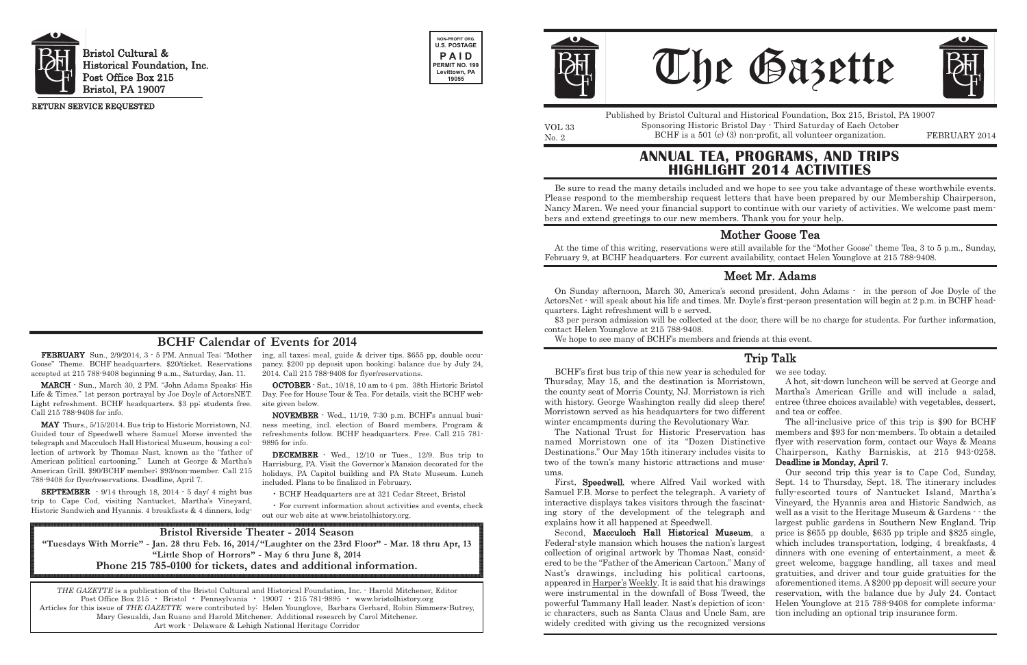Goose" Theme. BCHF headquarters. \$20/ticket. Reservations accepted at 215 788-9408 beginning 9 a.m., Saturday, Jan. 11.

MARCH - Sun., March 30, 2 PM. "John Adams Speaks: His Life & Times." 1st person portrayal by Joe Doyle of ActorsNET. Light refreshment. BCHF headquarters. \$3 pp; students free. Call 215 788-9408 for info.

**FEBRUARY** Sun., 2/9/2014, 3  $\cdot$  5 PM. Annual Tea; "Mother ing, all taxes; meal, guide & driver tips. \$655 pp, double occupancy. \$200 pp deposit upon booking; balance due by July 24, 2014. Call 215 788-9408 for flyer/reservations.

MAY Thurs., 5/15/2014. Bus trip to Historic Morristown, NJ. Guided tour of Speedwell where Samuel Morse invented the telegraph and Macculoch Hall Historical Museum, housing a collection of artwork by Thomas Nast, known as the "father of American political cartooning." Lunch at George & Martha's American Grill. \$90/BCHF member; \$93/non-member. Call 215 788-9408 for flyer/reservations. Deadline, April 7.

SEPTEMBER - 9/14 through 18, 2014 - 5 day/ 4 night bus trip to Cape Cod, visiting Nantucket, Martha's Vineyard, Historic Sandwich and Hyannis. 4 breakfasts & 4 dinners, lodgNo. 2 BCHF is a 501 (c) (3) non-profit, all volunteer organization. FEBRUARY 2014 Published by Bristol Cultural and Historical Foundation, Box 215, Bristol, PA 19007 Sponsoring Historic Bristol Day - Third Saturday of Each October

OCTOBER - Sat., 10/18, 10 am to 4 pm. 38th Historic Bristol Day. Fee for House Tour & Tea. For details, visit the BCHF website given below.

NOVEMBER - Wed., 11/19, 7:30 p.m. BCHF's annual business meeting, incl. election of Board members. Program & refreshments follow. BCHF headquarters. Free. Call 215 781- 9895 for info.

DECEMBER - Wed., 12/10 or Tues., 12/9. Bus trip to Harrisburg, PA. Visit the Governor's Mansion decorated for the holidays, PA Capitol building and PA State Museum. Lunch included. Plans to be finalized in February.

• BCHF Headquarters are at 321 Cedar Street, Bristol

• For current information about activities and events, check out our web site at www.bristolhistory.org.



Bristol Cultural & Historical Foundation, Inc. Post Office Box 215 Bristol, PA 19007





VOL 33

RETURN SERVICE REQUESTED

THE GAZETTE is a publication of the Bristol Cultural and Historical Foundation, Inc. - Harold Mitchener, Editor Post Office Box 215 • Bristol • Pennsylvania • 19007 • 215 781-9895 • www.bristolhistory.org Articles for this issue of THE GAZETTE were contributed by: Helen Younglove, Barbara Gerhard, Robin Simmers-Butrey, Mary Gesualdi, Jan Ruano and Harold Mitchener. Additional research by Carol Mitchener. Art work - Delaware & Lehigh National Heritage Corridor





### **BCHF Calendar of Events for 2014**

# **ANNUAL TEA, PROGRAMS, AND TRIPS HIGHLIGHT 2014 ACTIVITIES**

Be sure to read the many details included and we hope to see you take advantage of these worthwhile events. Please respond to the membership request letters that have been prepared by our Membership Chairperson, Nancy Maren. We need your financial support to continue with our variety of activities. We welcome past members and extend greetings to our new members. Thank you for your help.

At the time of this writing, reservations were still available for the "Mother Goose" theme Tea, 3 to 5 p.m., Sunday, February 9, at BCHF headquarters. For current availability, contact Helen Younglove at 215 788-9408.

### Mother Goose Tea

**Bristol Riverside Theater - 2014 Season** "Tuesdays With Morrie" - Jan. 28 thru Feb. 16, 2014/"Laughter on the 23rd Floor" - Mar. 18 thru Apr, 13 **"Little Shop of Horrors" - May 6 thru June 8, 2014 Phone 215 785-0100 for tickets, dates and additional information.**

On Sunday afternoon, March 30, America's second president, John Adams - in the person of Joe Doyle of the ActorsNet - will speak about his life and times. Mr. Doyle's first-person presentation will begin at 2 p.m. in BCHF headquarters. Light refreshment will b e served.

\$3 per person admission will be collected at the door, there will be no charge for students. For further information, contact Helen Younglove at 215 788-9408.

We hope to see many of BCHF's members and friends at this event.

## Meet Mr. Adams

BCHF's first bus trip of this new year is scheduled for Thursday, May 15, and the destination is Morristown, the county seat of Morris County, NJ. Morristown is rich with history. George Washington really did sleep there! Morristown served as his headquarters for two different we see today. A hot, sit-down luncheon will be served at George and Martha's American Grille and will include a salad, entree (three choices available) with vegetables, dessert, and tea or coffee.

winter encampments during the Revolutionary War. The National Trust for Historic Preservation has named Morristown one of its "Dozen Distinctive Destinations." Our May 15th itinerary includes visits to two of the town's many historic attractions and museums. The all-inclusive price of this trip is \$90 for BCHF members and \$93 for non-members. To obtain a detailed flyer with reservation form, contact our Ways & Means Chairperson, Kathy Barniskis, at 215 943-0258. Deadline is Monday, April 7. Our second trip this year is to Cape Cod, Sunday,

widely credited with giving us the recognized versions

First, Speedwell, where Alfred Vail worked with Samuel F.B. Morse to perfect the telegraph. A variety of interactive displays takes visitors through the fascinating story of the development of the telegraph and explains how it all happened at Speedwell. Second, Macculoch Hall Historical Museum, a Federal-style mansion which houses the nation's largest collection of original artwork by Thomas Nast, considered to be the "Father of the American Cartoon." Many of Nast's drawings, including his political cartoons, appeared in Harper's Weekly. It is said that his drawings were instrumental in the downfall of Boss Tweed, the powerful Tammany Hall leader. Nast's depiction of iconic characters, such as Santa Claus and Uncle Sam, are Sept. 14 to Thursday, Sept. 18. The itinerary includes fully-escorted tours of Nantucket Island, Martha's Vineyard, the Hyannis area and Historic Sandwich, as well as a visit to the Heritage Museum & Gardens - - the largest public gardens in Southern New England. Trip price is \$655 pp double, \$635 pp triple and \$825 single, which includes transportation, lodging, 4 breakfasts, 4 dinners with one evening of entertainment, a meet & greet welcome, baggage handling, all taxes and meal gratuities, and driver and tour guide gratuities for the aforementioned items. A \$200 pp deposit will secure your reservation, with the balance due by July 24. Contact Helen Younglove at 215 788-9408 for complete information including an optional trip insurance form.

### Trip Talk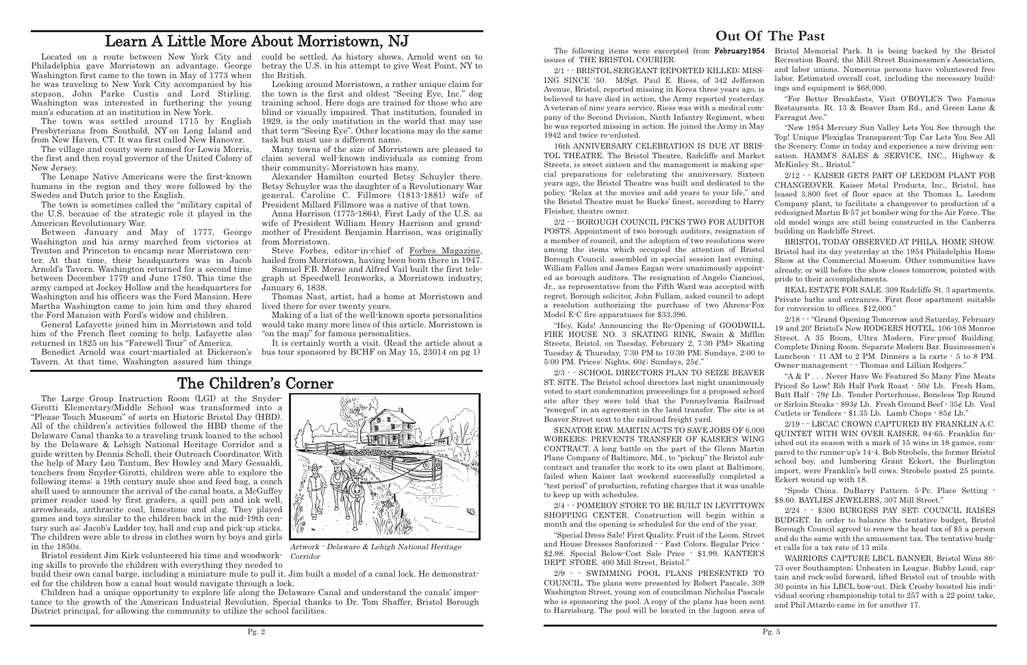### **Out Of The Past**

believed to have died in action, the Army reported yesterday. A veteran of nine years service, Riess was with a medical company of the Second Division, Ninth Infantry Regiment, when he was reported missing in action. He joined the Army in May 1942 and twice re-enlisted.

16th ANNIVERSARY CELEBRATION IS DUE AT BRIS-TOL THEATRE. The Bristol Theatre, Radcliffe and Market Streets, is sweet sixteen and the management is making special preparations for celebrating the anniversary. Sixteen years ago, the Bristol Theatre was built and dedicated to the policy, "Relax at the movies and add years to your life," and the Bristol Theatre must be Bucks' finest, according to Harry Fleisher, theatre owner.

2/2 - - BOROUGH COUNCIL PICKS TWO FOR AUDITOR POSTS. Appointment of two borough auditors, resignation of a member of council, and the adoption of two resolutions were among the items which occupied the attention of Bristol Borough Council, assembled in special session last evening. William Fallon and James Eagan were unanimously appointed as borough auditors. The resignation of Angelo Cianciosi, Jr., as representative from the Fifth Ward was accepted with regret. Borough solicitor, John Fullam, asked council to adopt a resolution authorizing the purchase of two Ahrens-Fox Model E-C fire apparatuses for \$33,396.

The following items were excerpted from February1954 issues of THE BRISTOL COURIER. 2/1 - - BRISTOL SERGEANT REPORTED KILLED; MISS-ING SINCE '50. M/Sgt. Paul E. Riess, of 342 Jefferson Avenue, Bristol, reported missing in Korea three years ago, is Bristol Memorial Park. It is being backed by the Bristol Recreation Board, the Mill Street Businessmen's Association, and labor unions. Numerous persons have volunteered free labor. Estimated overall cost, including the necessary buildings and equipment is \$68,000.

2/3 - - SCHOOL DIRECTORS PLAN TO SEIZE BEAVER ST. SITE. The Bristol school directors last night unanimously voted to start condemnation proceedings for a proposed school site after they were told that the Pennsylvania Railroad "reneged" in an agreement in the land transfer. The site is at Beaver Street next to the railroad freight yard.

2/4 - - POMEROY STORE TO BE BUILT IN LEVITTOWN SHOPPING CENTER. Construction will begin within a month and the opening is scheduled for the end of the year.

"Special Dress Sale! First Quality. Fruit of the Loom. Street and House Dresses Sanforized - - Fast Colors. Regular Price - \$2.98. Special Below-Cost Sale Price - \$1.99. KANTER'S DEPT. STORE. 400 Mill Street, Bristol."

2/9 - - SWIMMING POOL PLANS PRESENTED TO COUNCIL. The plans were presented by Robert Pascale, 309 Washington Street, young son of councilman Nicholas Pascale who is sponsoring the pool. A copy of the plans has been sent to Harrisburg. The pool will be located in the lagoon area of



"Hey, Kids! Announcing the Re-Opening of GOODWILL FIRE HOUSE NO. 3 SKATING RINK, Swain & Mifflin Streets, Bristol, on Tuesday, February 2, 7:30 PM> Skating Tuesday & Thursday, 7:30 PM to 10:30 PM; Sundays, 2:00 to 5:00 PM. Prices: Nights, 60¢; Sundays, 25¢." 2/18 - - "Grand Opening Tomorrow and Saturday, February 19 and 20! Bristol's New RODGERS HOTEL, 106-108 Monroe Street. A 35 Room, Ultra Modern, Fire-proof Building. Complete Dining Room. Separate Modern Bar. Businessmen's Luncheon - 11 AM to 2 PM. Dinners a la carte - 5 to 8 PM. Owner-management - - Thomas and Lillian Rodgers."

"For Better Breakfasts, Visit O'BOYLE'S Two Famous Restaurants. Rt. 13 & Beaver Dam Rd., and Green Lane & Farragut Ave."

"New 1954 Mercury Sun Valley Lets You See through the Top! Unique Plexiglas Transparent-Top Car Lets You See All the Scenery. Come in today and experience a new driving sensation. HAMM'S SALES & SERVICE, INC., Highway & McKinley St., Bristol."

SENATOR EDW. MARTIN ACTS TO SAVE JOBS OF 6,000 WORKERS; PREVENTS TRANSFER OF KAISER'S WING CONTRACT. A long battle on the part of the Glenn Martin Plane Company of Baltimore, Md., to "pickup" the Bristol subcontract and transfer the work to its own plant at Baltimore, failed when Kaiser last weekend successfully completed a "test period" of production, refuting charges that it was unable to keep up with schedules. 2/19 - - LBCAC CROWN CAPTURED BY FRANKLIN A.C. QUINTET WITH WIN OVER KAISER, 94-65. Franklin finished out its season with a mark of 15 wins in 18 games, compared to the runner-up's 14-4. Bob Strobele, the former Bristol school boy, and lumbering Grant Eckert, the Burlington import, were Franklin's bell cows. Strobele posted 25 points. Eckert wound up with 18. "Spode China. DuBarry Pattern. 5-Pc. Place Setting - \$8.60. BAYLIES JEWELERS, 307 Mill Street."

2/12 - - KAISER GETS PART OF LEEDOM PLANT FOR CHANGEOVER. Kaiser Metal Products, Inc., Bristol, has leased 3,800 feet of floor space at the Thomas L. Leedom Company plant, to facilitate a changeover to production of a redesigned Martin B-57 jet bomber wing for the Air Force. The old model wings are still being constructed in the Canberra building on Radcliffe Street.

BRISTOL TODAY OBSERVED AT PHILA. HOME SHOW. Bristol had its day yesterday at the 1954 Philadelphia Home Show at the Commercial Museum. Other communities have already, or will before the show closes tomorrow, pointed with pride to their accomplishments.

REAL ESTATE FOR SALE. 309 Radcliffe St. 3 apartments. Private baths and entrances. First floor apartment suitable for conversion to offices. \$12,000."

"A & P . . . Never Have We Featured So Many Fine Meats Priced So Low! Rib Half Pork Roast - 50¢ Lb. Fresh Ham, Butt Half - 79¢ Lb. Tender Porterhouse, Boneless Top Round or Sirloin Steaks - 893¢ Lb. Fresh Ground Beef - 35¢ Lb. Veal Cutlets or Tenders - \$1.35 Lb. Lamb Chops - 85¢ Lb."

Bristol resident Jim Kirk volunteered his time and woodwork- Corridor ing skills to provide the children with everything they needed to

2/24 - - \$300 BURGESS PAY SET; COUNCIL RAISES BUDGET. In order to balance the tentative budget, Bristol Borough Council agreed to renew the head tax of \$5 a person and do the same with the amusement tax. The tentative budget calls for a tax rate of 13 mils.

WARRIORS CAPTURE LBCL BANNER, Bristol Wins 86- 73 over Southampton; Unbeaten in League. Bubby Loud, captain and rock-solid forward, lifted Bristol out of trouble with 30 points in his LBCL bow-out. Dick Crosby boosted his individual scoring championship total to 257 with a 22 point take, and Phil Attardo came in for another 17.

# Learn A Little More About Morristown, NJ

Philadelphia gave Morristown an advantage. George Washington first came to the town in May of 1773 when he was traveling to New York City accompanied by his stepson, John Parke Custis and Lord Stirling. Washington was interested in furthering the young man's education at an institution in New York.

The town was settled around 1715 by English Presbyterians from Southold, NY on Long Island and from New Haven, CT. It was first called New Hanover.

The village and county were named for Lewis Morris, the first and then royal governor of the United Colony of New Jersey.

The Lenape Native Americans were the first-known humans in the region and they were followed by the Swedes and Dutch prior to the English.

The town is sometimes called the "military capital of the U.S. because of the strategic role it played in the American Revolutionary War.

Located on a route between New York City and could be settled. As history shows, Arnold went on to betray the U.S. in his attempt to give West Point, NY to the British.

Between January and May of 1777, George Washington and his army marched from victories at Trenton and Princeton to encamp near Morristown center. At that time, their headquarters was in Jacob Arnold's Tavern. Washington returned for a second time between December 1779 and June 1780. This time the army camped at Jockey Hollow and the headquarters for Washington and his officers was the Ford Mansion. Here Martha Washington came to join him and they shared the Ford Mansion with Ford's widow and children.

General Lafayette joined him in Morristown and told him of the French fleet coming to help. Lafayette also returned in 1825 on his "Farewell Tour" of America.

Benedict Arnold was court-martialed at Dickerson's Tavern. At that time, Washington assured him things

Looking around Morristown, a rather unique claim for the town is the first and oldest "Seeing Eye, Inc." dog training school. Here dogs are trained for those who are blind or visually impaired. That institution, founded in 1929, is the only institution in the world that may use that term "Seeing Eye". Other locations may do the same task but must use a different name.

Many towns of the size of Morristown are pleased to claim several well-known individuals as coming from their community; Morristown has many.

Alexander Hamilton courted Betsy Schuyler there. Betsy Schuyler was the daughter of a Revolutionary War general. Caroline C. Fillmore (1813-1881) wife of President Millard Fillmore was a native of that town.

Anna Harrison (1775-1864), First Lady of the U.S. as wife of President William Henry Harrison and grandmother of President Benjamin Harrison, was originally from Morristown.

Steve Forbes, editor-in-chief of Forbes Magazine, hailed from Morristown, having been born there in 1947.

Samuel F.B. Morse and Alfred Vail built the first telegraph at Speedwell Ironworks, a Morristown industry, January 6, 1838.

Thomas Nast, artist, had a home at Morristown and lived there for over twenty years.

Making of a list of the well-known sports personalities would take many more lines of this article. Morristown is "on the map" for famous personalities.

It is certainly worth a visit. (Read the article about a bus tour sponsored by BCHF on May 15, 23014 on pg 1)

The Large Group Instruction Room (LGI) at the Snyder-Girotti Elementary/Middle School was transformed into a "Please Touch Museum" of sorts on Historic Bristol Day (HBD). All of the children's activities followed the HBD theme of the Delaware Canal thanks to a traveling trunk loaned to the school by the Delaware & Lehigh National Heritage Corridor and a guide written by Dennis Scholl, their Outreach Coordinator. With the help of Mary Lou Tantum, Bev Howley and Mary Gesualdi, teachers from Snyder-Girotti, children were able to explore the following items: a 19th century mule shoe and feed bag, a conch shell used to announce the arrival of the canal boats, a McGuffey primer reader used by first graders, a quill pen and ink well, arrowheads, anthracite coal, limestone and slag. They played games and toys similar to the children back in the mid-19th century such as: Jacob's Ladder toy, ball and cup and pick-up sticks. The children were able to dress in clothes worn by boys and girls in the 1850s.

build their own canal barge, including a miniature mule to pull it. Jim built a model of a canal lock. He demonstrated for the children how a canal boat would navigate through a lock.

Children had a unique opportunity to explore life along the Delaware Canal and understand the canals' importance to the growth of the American Industrial Revolution. Special thanks to Dr. Tom Shaffer, Bristol Borough District principal, for allowing the community to utilize the school facilities.

# The Children's Corner

Artwork - Delaware & Lehigh National Heritage